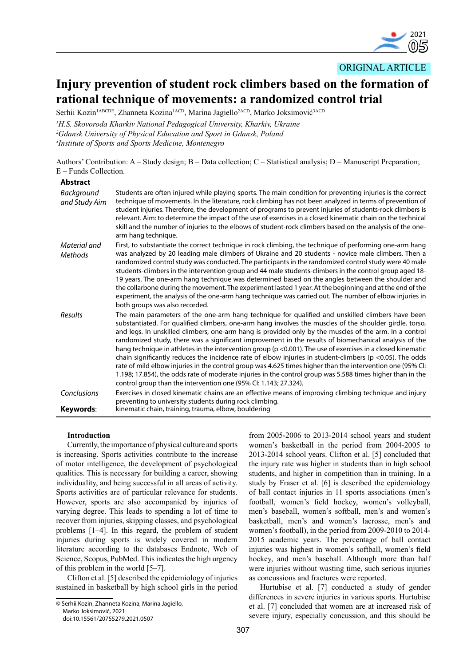

ORIGINAL ARTICLE

# **Injury prevention of student rock climbers based on the formation of rational technique of movements: a randomized control trial**

Serhii Kozin<sup>1ABCDE</sup>, Zhanneta Kozina<sup>1ACD</sup>, Marina Jagiello<sup>2ACD</sup>, Marko Joksimović<sup>3ACD</sup>

*1 H.S. Skovoroda Kharkiv National Pedagogical University, Kharkiv, Ukraine 2 Gdansk University of Physical Education and Sport in Gdansk, Poland*

*3 Institute of Sports and Sports Medicine, Montenegro*

Authors' Contribution: A – Study design; B – Data collection; C – Statistical analysis; D – Manuscript Preparation; E – Funds Collection.

## **Abstract**

| Background<br>and Study Aim | Students are often injured while playing sports. The main condition for preventing injuries is the correct<br>technique of movements. In the literature, rock climbing has not been analyzed in terms of prevention of<br>student injuries. Therefore, the development of programs to prevent injuries of students-rock climbers is<br>relevant. Aim: to determine the impact of the use of exercises in a closed kinematic chain on the technical<br>skill and the number of injuries to the elbows of student-rock climbers based on the analysis of the one-<br>arm hang technique.                                                                                                                                                                                                                                                                                                                                                                     |
|-----------------------------|------------------------------------------------------------------------------------------------------------------------------------------------------------------------------------------------------------------------------------------------------------------------------------------------------------------------------------------------------------------------------------------------------------------------------------------------------------------------------------------------------------------------------------------------------------------------------------------------------------------------------------------------------------------------------------------------------------------------------------------------------------------------------------------------------------------------------------------------------------------------------------------------------------------------------------------------------------|
| Material and<br>Methods     | First, to substantiate the correct technique in rock climbing, the technique of performing one-arm hang<br>was analyzed by 20 leading male climbers of Ukraine and 20 students - novice male climbers. Then a<br>randomized control study was conducted. The participants in the randomized control study were 40 male<br>students-climbers in the intervention group and 44 male students-climbers in the control group aged 18-<br>19 years. The one-arm hang technique was determined based on the angles between the shoulder and<br>the collarbone during the movement. The experiment lasted 1 year. At the beginning and at the end of the<br>experiment, the analysis of the one-arm hang technique was carried out. The number of elbow injuries in<br>both groups was also recorded.                                                                                                                                                             |
| Results                     | The main parameters of the one-arm hang technique for qualified and unskilled climbers have been<br>substantiated. For qualified climbers, one-arm hang involves the muscles of the shoulder girdle, torso,<br>and legs. In unskilled climbers, one-arm hang is provided only by the muscles of the arm. In a control<br>randomized study, there was a significant improvement in the results of biomechanical analysis of the<br>hang technique in athletes in the intervention group (p < 0.001). The use of exercises in a closed kinematic<br>chain significantly reduces the incidence rate of elbow injuries in student-climbers (p <0.05). The odds<br>rate of mild elbow injuries in the control group was 4.625 times higher than the intervention one (95% CI:<br>1.198; 17.854), the odds rate of moderate injuries in the control group was 5.588 times higher than in the<br>control group than the intervention one (95% CI: 1.143; 27.324). |
| Conclusions                 | Exercises in closed kinematic chains are an effective means of improving climbing technique and injury                                                                                                                                                                                                                                                                                                                                                                                                                                                                                                                                                                                                                                                                                                                                                                                                                                                     |
| Keywords:                   | preventing to university students during rock climbing.<br>kinematic chain, training, trauma, elbow, bouldering                                                                                                                                                                                                                                                                                                                                                                                                                                                                                                                                                                                                                                                                                                                                                                                                                                            |

## **Introduction**

Currently, the importance of physical culture and sports is increasing. Sports activities contribute to the increase of motor intelligence, the development of psychological qualities. This is necessary for building a career, showing individuality, and being successful in all areas of activity. Sports activities are of particular relevance for students. However, sports are also accompanied by injuries of varying degree. This leads to spending a lot of time to recover from injuries, skipping classes, and psychological problems [1–4]. In this regard, the problem of student injuries during sports is widely covered in modern literature according to the databases Endnote, Web of Science, Scopus, PubMed. This indicates the high urgency of this problem in the world [5–7].

Clifton et al. [5] described the epidemiology of injuries sustained in basketball by high school girls in the period

© Serhii Kozin, Zhanneta Kozina, Marina Jagiello, Marko Joksimović, 2021 doi:10.15561/20755279.2021.0507

from 2005-2006 to 2013-2014 school years and student women's basketball in the period from 2004-2005 to 2013-2014 school years. Clifton et al. [5] concluded that the injury rate was higher in students than in high school students, and higher in competition than in training. In a study by Fraser et al. [6] is described the epidemiology of ball contact injuries in 11 sports associations (men's football, women's field hockey, women's volleyball, men's baseball, women's softball, men's and women's basketball, men's and women's lacrosse, men's and women's football), in the period from 2009-2010 to 2014- 2015 academic years. The percentage of ball contact injuries was highest in women's softball, women's field hockey, and men's baseball. Although more than half were injuries without wasting time, such serious injuries as concussions and fractures were reported.

Hurtubise et al. [7] conducted a study of gender differences in severe injuries in various sports. Hurtubise et al. [7] concluded that women are at increased risk of severe injury, especially concussion, and this should be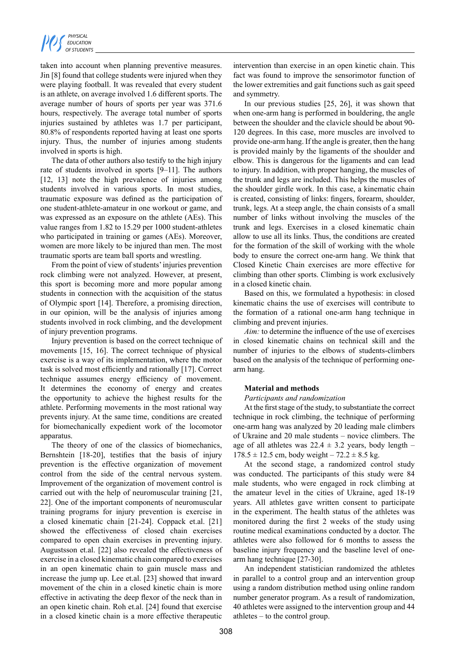taken into account when planning preventive measures. Jin [8] found that college students were injured when they were playing football. It was revealed that every student is an athlete, on average involved 1.6 different sports. The average number of hours of sports per year was 371.6 hours, respectively. The average total number of sports injuries sustained by athletes was 1.7 per participant, 80.8% of respondents reported having at least one sports injury. Thus, the number of injuries among students involved in sports is high.

The data of other authors also testify to the high injury rate of students involved in sports [9–11]. The authors [12, 13] note the high prevalence of injuries among students involved in various sports. In most studies, traumatic exposure was defined as the participation of one student-athlete-amateur in one workout or game, and was expressed as an exposure on the athlete (AEs). This value ranges from 1.82 to 15.29 per 1000 student-athletes who participated in training or games (AEs). Moreover, women are more likely to be injured than men. The most traumatic sports are team ball sports and wrestling.

From the point of view of students' injuries prevention rock climbing were not analyzed. However, at present, this sport is becoming more and more popular among students in connection with the acquisition of the status of Olympic sport [14]. Therefore, a promising direction, in our opinion, will be the analysis of injuries among students involved in rock climbing, and the development of injury prevention programs.

Injury prevention is based on the correct technique of movements [15, 16]. The correct technique of physical exercise is a way of its implementation, where the motor task is solved most efficiently and rationally [17]. Correct technique assumes energy efficiency of movement. It determines the economy of energy and creates the opportunity to achieve the highest results for the athlete. Performing movements in the most rational way prevents injury. At the same time, conditions are created for biomechanically expedient work of the locomotor apparatus.

The theory of one of the classics of biomechanics, Bernshtein [18-20], testifies that the basis of injury prevention is the effective organization of movement control from the side of the central nervous system. Improvement of the organization of movement control is carried out with the help of neuromuscular training [21, 22]. One of the important components of neuromuscular training programs for injury prevention is exercise in a closed kinematic chain [21-24]. Coppack et.al. [21] showed the effectiveness of closed chain exercises compared to open chain exercises in preventing injury. Augustsson et.al. [22] also revealed the effectiveness of exercise in a closed kinematic chain compared to exercises in an open kinematic chain to gain muscle mass and increase the jump up. Lee et.al. [23] showed that inward movement of the chin in a closed kinetic chain is more effective in activating the deep flexor of the neck than in an open kinetic chain. Roh et.al. [24] found that exercise in a closed kinetic chain is a more effective therapeutic intervention than exercise in an open kinetic chain. This fact was found to improve the sensorimotor function of the lower extremities and gait functions such as gait speed and symmetry.

In our previous studies [25, 26], it was shown that when one-arm hang is performed in bouldering, the angle between the shoulder and the clavicle should be about 90- 120 degrees. In this case, more muscles are involved to provide one-arm hang. If the angle is greater, then the hang is provided mainly by the ligaments of the shoulder and elbow. This is dangerous for the ligaments and can lead to injury. In addition, with proper hanging, the muscles of the trunk and legs are included. This helps the muscles of the shoulder girdle work. In this case, a kinematic chain is created, consisting of links: fingers, forearm, shoulder, trunk, legs. At a steep angle, the chain consists of a small number of links without involving the muscles of the trunk and legs. Exercises in a closed kinematic chain allow to use all its links. Thus, the conditions are created for the formation of the skill of working with the whole body to ensure the correct one-arm hang. We think that Closed Kinetic Chain exercises are more effective for climbing than other sports. Climbing is work exclusively in a closed kinetic chain.

Based on this, we formulated a hypothesis: in closed kinematic chains the use of exercises will contribute to the formation of a rational one-arm hang technique in climbing and prevent injuries.

*Aim:* to determine the influence of the use of exercises in closed kinematic chains on technical skill and the number of injuries to the elbows of students-climbers based on the analysis of the technique of performing onearm hang.

# **Material and methods**

## *Participants and randomization*

At the first stage of the study, to substantiate the correct technique in rock climbing, the technique of performing one-arm hang was analyzed by 20 leading male climbers of Ukraine and 20 male students – novice climbers. The age of all athletes was  $22.4 \pm 3.2$  years, body length –  $178.5 \pm 12.5$  cm, body weight –  $72.2 \pm 8.5$  kg.

At the second stage, a randomized control study was conducted. The participants of this study were 84 male students, who were engaged in rock climbing at the amateur level in the cities of Ukraine, aged 18-19 years. All athletes gave written consent to participate in the experiment. The health status of the athletes was monitored during the first 2 weeks of the study using routine medical examinations conducted by a doctor. The athletes were also followed for 6 months to assess the baseline injury frequency and the baseline level of onearm hang technique [27-30].

An independent statistician randomized the athletes in parallel to a control group and an intervention group using a random distribution method using online random number generator program. As a result of randomization, 40 athletes were assigned to the intervention group and 44 athletes – to the control group.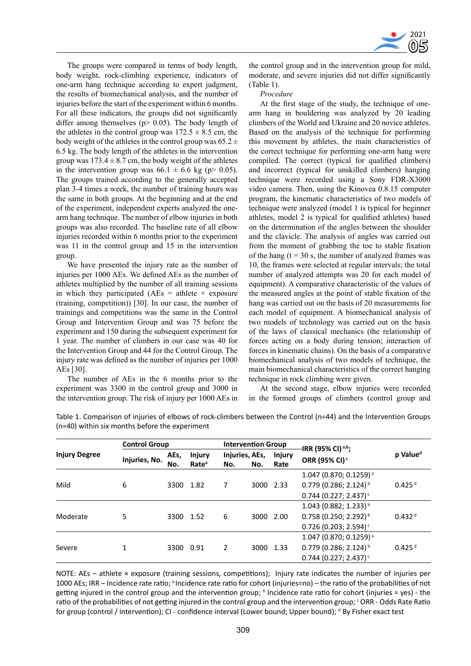

The groups were compared in terms of body length, body weight, rock-climbing experience, indicators of one-arm hang technique according to expert judgment, the results of biomechanical analysis, and the number of injuries before the start of the experiment within 6 months. For all these indicators, the groups did not significantly differ among themselves  $(p > 0.05)$ . The body length of the athletes in the control group was  $172.5 \pm 8.5$  cm, the body weight of the athletes in the control group was  $65.2 \pm$ 6.5 kg. The body length of the athletes in the intervention group was  $173.4 \pm 8.7$  cm, the body weight of the athletes in the intervention group was  $66.1 \pm 6.6$  kg (p> 0.05). The groups trained according to the generally accepted plan 3-4 times a week, the number of training hours was the same in both groups. At the beginning and at the end of the experiment, independent experts analyzed the onearm hang technique. The number of elbow injuries in both groups was also recorded. The baseline rate of all elbow injuries recorded within 6 months prior to the experiment was 11 in the control group and 15 in the intervention group.

We have presented the injury rate as the number of injuries per 1000 AEs. We defined AEs as the number of athletes multiplied by the number of all training sessions in which they participated (AEs = athlete  $\times$  exposure (training, competition)) [30]. In our case, the number of trainings and competitions was the same in the Control Group and Intervention Group and was 75 before the experiment and 150 during the subsequent experiment for 1 year. The number of climbers in our case was 40 for the Intervention Group and 44 for the Control Group. The injury rate was defined as the number of injuries per 1000 AEs [30].

The number of AEs in the 6 months prior to the experiment was 3300 in the control group and 3000 in the intervention group. The risk of injury per 1000 AEs in the control group and in the intervention group for mild, moderate, and severe injuries did not differ significantly (Table 1).

#### *Procedure*

At the first stage of the study, the technique of onearm hang in bouldering was analyzed by 20 leading climbers of the World and Ukraine and 20 novice athletes. Based on the analysis of the technique for performing this movement by athletes, the main characteristics of the correct technique for performing one-arm hang were compiled. The correct (typical for qualified climbers) and incorrect (typical for unskilled climbers) hanging technique were recorded using a Sony FDR-X3000 video camera. Then, using the Kinovea 0.8.15 computer program, the kinematic characteristics of two models of technique were analyzed (model 1 is typical for beginner athletes, model 2 is typical for qualified athletes) based on the determination of the angles between the shoulder and the clavicle. The analysis of angles was carried out from the moment of grabbing the toe to stable fixation of the hang ( $t = 30$  s, the number of analyzed frames was 10, the frames were selected at regular intervals; the total number of analyzed attempts was 20 for each model of equipment). A comparative characteristic of the values of the measured angles at the point of stable fixation of the hang was carried out on the basis of 20 measurements for each model of equipment. A biomechanical analysis of two models of technology was carried out on the basis of the laws of classical mechanics (the relationship of forces acting on a body during tension; interaction of forces in kinematic chains). On the basis of a comparative biomechanical analysis of two models of technique, the main biomechanical characteristics of the correct hanging technique in rock climbing were given.

At the second stage, elbow injuries were recorded in the formed groups of climbers (control group and

|                      | <b>Control Group</b> |             |                                    |     | <b>Intervention Group</b> |                       | IRR (95% CI) <sup>a;b</sup> ;       |                      |  |  |  |
|----------------------|----------------------|-------------|------------------------------------|-----|---------------------------|-----------------------|-------------------------------------|----------------------|--|--|--|
| <b>Injury Degree</b> | Injuries, No.        | AEs,<br>No. | <b>Injury</b><br>Rate <sup>a</sup> | No. | Injuries, AEs,<br>No.     | <b>Injury</b><br>Rate | ORR (95% CI) <sup>c</sup>           | p Value <sup>d</sup> |  |  |  |
|                      |                      |             |                                    |     |                           |                       | 1.047 (0.870; 0.1259) <sup>a</sup>  |                      |  |  |  |
| Mild                 | 6                    | 3300        | 1.82                               | 7   | 3000 2.33                 |                       | $0.779$ (0.286; 2.124) <sup>b</sup> | $0.425$ <sup>d</sup> |  |  |  |
|                      |                      |             |                                    |     |                           |                       | $0.744$ (0.227; 2.437) <sup>c</sup> |                      |  |  |  |
|                      |                      |             | 1.52                               |     | 3000 2.00                 |                       | $1.043$ (0.882; 1.233) <sup>a</sup> |                      |  |  |  |
| Moderate             | 5                    | 3300        |                                    | 6   |                           |                       | $0.758$ (0.250; 2.292) <sup>b</sup> | 0.432 <sup>d</sup>   |  |  |  |
|                      |                      |             |                                    |     |                           |                       | $0.726$ (0.203; 2.594) <sup>c</sup> |                      |  |  |  |
|                      |                      |             |                                    |     |                           |                       | 1.047 (0.870; 0.1259) <sup>a</sup>  |                      |  |  |  |
| Severe               |                      | 3300        | 0.91                               | 2   | 3000 1.33                 |                       | $0.779$ (0.286; 2.124) <sup>b</sup> | $0.425$ <sup>d</sup> |  |  |  |
|                      |                      |             |                                    |     |                           |                       | $0.744$ (0.227; 2.437) <sup>c</sup> |                      |  |  |  |

Table 1. Comparison of injuries of elbows of rock-climbers between the Control (n=44) and the Intervention Groups (n=40) within six months before the experiment

NOTE: AEs – athlete × exposure (training sessions, competitions); Injury rate indicates the number of injuries per 1000 AEs; IRR – Incidence rate ratio; <sup>a</sup> Incidence rate ratio for cohort (injuries=no) – the ratio of the probabilities of not getting injured in the control group and the intervention group; **b** Incidence rate ratio for cohort (injuries = yes) - the ratio of the probabilities of not getting injured in the control group and the intervention group; CRR - Odds Rate Ratio for group (control / intervention); CI - confidence interval (Lower bound; Upper bound); <sup>d</sup> By Fisher exact test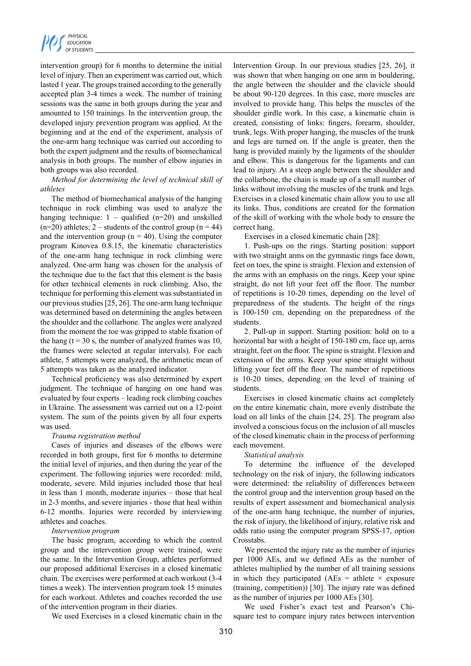intervention group) for 6 months to determine the initial level of injury. Then an experiment was carried out, which lasted 1 year. The groups trained according to the generally accepted plan 3-4 times a week. The number of training sessions was the same in both groups during the year and amounted to 150 trainings. In the intervention group, the developed injury prevention program was applied. At the beginning and at the end of the experiment, analysis of the one-arm hang technique was carried out according to both the expert judgment and the results of biomechanical analysis in both groups. The number of elbow injuries in both groups was also recorded.

# *Method for determining the level of technical skill of athletes*

The method of biomechanical analysis of the hanging technique in rock climbing was used to analyze the hanging technique:  $1 -$  qualified (n=20) and unskilled  $(n=20)$  athletes; 2 – students of the control group  $(n = 44)$ and the intervention group ( $n = 40$ ). Using the computer program Kinovea 0.8.15, the kinematic characteristics of the one-arm hang technique in rock climbing were analyzed. One-arm hang was chosen for the analysis of the technique due to the fact that this element is the basis for other technical elements in rock climbing. Also, the technique for performing this element was substantiated in our previous studies [25, 26]. The one-arm hang technique was determined based on determining the angles between the shoulder and the collarbone. The angles were analyzed from the moment the toe was gripped to stable fixation of the hang  $(t = 30 s$ , the number of analyzed frames was 10, the frames were selected at regular intervals). For each athlete, 5 attempts were analyzed, the arithmetic mean of 5 attempts was taken as the analyzed indicator.

Technical proficiency was also determined by expert judgment. The technique of hanging on one hand was evaluated by four experts – leading rock climbing coaches in Ukraine. The assessment was carried out on a 12-point system. The sum of the points given by all four experts was used.

## *Trauma registration method*

Cases of injuries and diseases of the elbows were recorded in both groups, first for 6 months to determine the initial level of injuries, and then during the year of the experiment. The following injuries were recorded: mild, moderate, severe. Mild injuries included those that heal in less than 1 month, moderate injuries – those that heal in 2-3 months, and severe injuries - those that heal within 6-12 months. Injuries were recorded by interviewing athletes and coaches.

## *Intervention program*

The basic program, according to which the control group and the intervention group were trained, were the same. In the Intervention Group, athletes performed our proposed additional Exercises in a closed kinematic chain. The exercises were performed at each workout (3-4 times a week). The intervention program took 15 minutes for each workout. Athletes and coaches recorded the use of the intervention program in their diaries.

We used Exercises in a closed kinematic chain in the

Intervention Group. In our previous studies [25, 26], it was shown that when hanging on one arm in bouldering, the angle between the shoulder and the clavicle should be about 90-120 degrees. In this case, more muscles are involved to provide hang. This helps the muscles of the shoulder girdle work. In this case, a kinematic chain is created, consisting of links: fingers, forearm, shoulder, trunk, legs. With proper hanging, the muscles of the trunk and legs are turned on. If the angle is greater, then the hang is provided mainly by the ligaments of the shoulder and elbow. This is dangerous for the ligaments and can lead to injury. At a steep angle between the shoulder and the collarbone, the chain is made up of a small number of links without involving the muscles of the trunk and legs. Exercises in a closed kinematic chain allow you to use all its links. Thus, conditions are created for the formation of the skill of working with the whole body to ensure the correct hang.

Exercises in a closed kinematic chain [28]:

1. Push-ups on the rings. Starting position: support with two straight arms on the gymnastic rings face down, feet on toes, the spine is straight. Flexion and extension of the arms with an emphasis on the rings. Keep your spine straight, do not lift your feet off the floor. The number of repetitions is 10-20 times, depending on the level of preparedness of the students. The height of the rings is 100-150 cm, depending on the preparedness of the students.

2. Pull-up in support. Starting position: hold on to a horizontal bar with a height of 150-180 cm, face up, arms straight, feet on the floor. The spine is straight. Flexion and extension of the arms. Keep your spine straight without lifting your feet off the floor. The number of repetitions is 10-20 times, depending on the level of training of students.

Exercises in closed kinematic chains act completely on the entire kinematic chain, more evenly distribute the load on all links of the chain [24, 25]. The program also involved a conscious focus on the inclusion of all muscles of the closed kinematic chain in the process of performing each movement.

## *Statistical analysis*

To determine the influence of the developed technology on the risk of injury, the following indicators were determined: the reliability of differences between the control group and the intervention group based on the results of expert assessment and biomechanical analysis of the one-arm hang technique, the number of injuries, the risk of injury, the likelihood of injury, relative risk and odds ratio using the computer program SPSS-17, option Crosstabs.

We presented the injury rate as the number of injuries per 1000 AEs, and we defined AEs as the number of athletes multiplied by the number of all training sessions in which they participated (AEs = athlete  $\times$  exposure (training, competition)) [30]. The injury rate was defined as the number of injuries per 1000 AEs [30].

We used Fisher's exact test and Pearson's Chisquare test to compare injury rates between intervention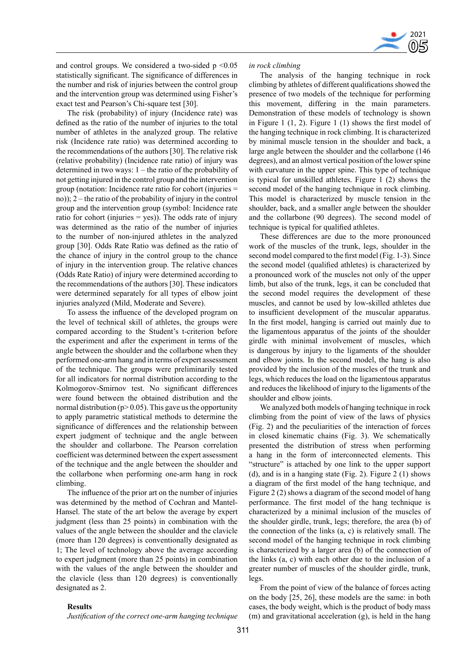

and control groups. We considered a two-sided  $p \le 0.05$ statistically significant. The significance of differences in the number and risk of injuries between the control group and the intervention group was determined using Fisher's exact test and Pearson's Chi-square test [30].

The risk (probability) of injury (Incidence rate) was defined as the ratio of the number of injuries to the total number of athletes in the analyzed group. The relative risk (Incidence rate ratio) was determined according to the recommendations of the authors [30]. The relative risk (relative probability) (Incidence rate ratio) of injury was determined in two ways: 1 – the ratio of the probability of not getting injured in the control group and the intervention group (notation: Incidence rate ratio for cohort (injuries = no)); 2 – the ratio of the probability of injury in the control group and the intervention group (symbol: Incidence rate ratio for cohort (injuries  $=$  yes)). The odds rate of injury was determined as the ratio of the number of injuries to the number of non-injured athletes in the analyzed group [30]. Odds Rate Ratio was defined as the ratio of the chance of injury in the control group to the chance of injury in the intervention group. The relative chances (Odds Rate Ratio) of injury were determined according to the recommendations of the authors [30]. These indicators were determined separately for all types of elbow joint injuries analyzed (Mild, Moderate and Severe).

To assess the influence of the developed program on the level of technical skill of athletes, the groups were compared according to the Student's t-criterion before the experiment and after the experiment in terms of the angle between the shoulder and the collarbone when they performed one-arm hang and in terms of expert assessment of the technique. The groups were preliminarily tested for all indicators for normal distribution according to the Kolmogorov-Smirnov test. No significant differences were found between the obtained distribution and the normal distribution ( $p > 0.05$ ). This gave us the opportunity to apply parametric statistical methods to determine the significance of differences and the relationship between expert judgment of technique and the angle between the shoulder and collarbone. The Pearson correlation coefficient was determined between the expert assessment of the technique and the angle between the shoulder and the collarbone when performing one-arm hang in rock climbing.

The influence of the prior art on the number of injuries was determined by the method of Cochran and Mantel-Hansel. The state of the art below the average by expert judgment (less than 25 points) in combination with the values of the angle between the shoulder and the clavicle (more than 120 degrees) is conventionally designated as 1; The level of technology above the average according to expert judgment (more than 25 points) in combination with the values of the angle between the shoulder and the clavicle (less than 120 degrees) is conventionally designated as 2.

#### **Results**

*Justification of the correct one-arm hanging technique* 

#### *in rock climbing*

The analysis of the hanging technique in rock climbing by athletes of different qualifications showed the presence of two models of the technique for performing this movement, differing in the main parameters. Demonstration of these models of technology is shown in Figure 1 (1, 2). Figure 1 (1) shows the first model of the hanging technique in rock climbing. It is characterized by minimal muscle tension in the shoulder and back, a large angle between the shoulder and the collarbone (146 degrees), and an almost vertical position of the lower spine with curvature in the upper spine. This type of technique is typical for unskilled athletes. Figure 1 (2) shows the second model of the hanging technique in rock climbing. This model is characterized by muscle tension in the shoulder, back, and a smaller angle between the shoulder and the collarbone (90 degrees). The second model of technique is typical for qualified athletes.

These differences are due to the more pronounced work of the muscles of the trunk, legs, shoulder in the second model compared to the first model (Fig. 1-3). Since the second model (qualified athletes) is characterized by a pronounced work of the muscles not only of the upper limb, but also of the trunk, legs, it can be concluded that the second model requires the development of these muscles, and cannot be used by low-skilled athletes due to insufficient development of the muscular apparatus. In the first model, hanging is carried out mainly due to the ligamentous apparatus of the joints of the shoulder girdle with minimal involvement of muscles, which is dangerous by injury to the ligaments of the shoulder and elbow joints. In the second model, the hang is also provided by the inclusion of the muscles of the trunk and legs, which reduces the load on the ligamentous apparatus and reduces the likelihood of injury to the ligaments of the shoulder and elbow joints.

We analyzed both models of hanging technique in rock climbing from the point of view of the laws of physics (Fig. 2) and the peculiarities of the interaction of forces in closed kinematic chains (Fig. 3). We schematically presented the distribution of stress when performing a hang in the form of interconnected elements. This "structure" is attached by one link to the upper support (d), and is in a hanging state (Fig. 2). Figure  $2(1)$  shows a diagram of the first model of the hang technique, and Figure 2 (2) shows a diagram of the second model of hang performance. The first model of the hang technique is characterized by a minimal inclusion of the muscles of the shoulder girdle, trunk, legs; therefore, the area (b) of the connection of the links (a, c) is relatively small. The second model of the hanging technique in rock climbing is characterized by a larger area (b) of the connection of the links (a, c) with each other due to the inclusion of a greater number of muscles of the shoulder girdle, trunk, legs.

From the point of view of the balance of forces acting on the body [25, 26], these models are the same: in both cases, the body weight, which is the product of body mass (m) and gravitational acceleration (g), is held in the hang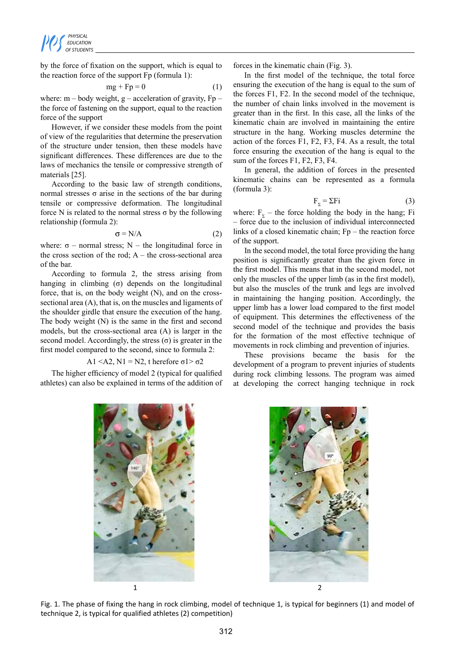by the force of fixation on the support, which is equal to the reaction force of the support Fp (formula 1):

$$
mg + Fp = 0 \tag{1}
$$

where:  $m - body$  weight,  $g - acceleration$  of gravity,  $Fp$ the force of fastening on the support, equal to the reaction force of the support

However, if we consider these models from the point of view of the regularities that determine the preservation of the structure under tension, then these models have significant differences. These differences are due to the laws of mechanics the tensile or compressive strength of materials [25].

According to the basic law of strength conditions, normal stresses σ arise in the sections of the bar during tensile or compressive deformation. The longitudinal force N is related to the normal stress  $\sigma$  by the following relationship (formula 2):

$$
\sigma = N/A \tag{2}
$$

where:  $\sigma$  – normal stress; N – the longitudinal force in the cross section of the rod;  $A -$  the cross-sectional area of the bar.

According to formula 2, the stress arising from hanging in climbing  $(\sigma)$  depends on the longitudinal force, that is, on the body weight (N), and on the crosssectional area (A), that is, on the muscles and ligaments of the shoulder girdle that ensure the execution of the hang. The body weight (N) is the same in the first and second models, but the cross-sectional area (A) is larger in the second model. Accordingly, the stress  $(\sigma)$  is greater in the first model compared to the second, since to formula 2:

$$
A1 \le A2, N1 = N2, \text{ therefore } \sigma1 > \sigma2
$$

The higher efficiency of model 2 (typical for qualified athletes) can also be explained in terms of the addition of forces in the kinematic chain (Fig. 3).

In the first model of the technique, the total force ensuring the execution of the hang is equal to the sum of the forces F1, F2. In the second model of the technique, the number of chain links involved in the movement is greater than in the first. In this case, all the links of the kinematic chain are involved in maintaining the entire structure in the hang. Working muscles determine the action of the forces F1, F2, F3, F4. As a result, the total force ensuring the execution of the hang is equal to the sum of the forces F1, F2, F3, F4.

In general, the addition of forces in the presented kinematic chains can be represented as a formula (formula 3):

$$
F_{\Sigma} = \Sigma Fi \tag{3}
$$

where:  $F<sub>y</sub>$  – the force holding the body in the hang; Fi – force due to the inclusion of individual interconnected links of a closed kinematic chain; Fp – the reaction force of the support.

In the second model, the total force providing the hang position is significantly greater than the given force in the first model. This means that in the second model, not only the muscles of the upper limb (as in the first model), but also the muscles of the trunk and legs are involved in maintaining the hanging position. Accordingly, the upper limb has a lower load compared to the first model of equipment. This determines the effectiveness of the second model of the technique and provides the basis for the formation of the most effective technique of movements in rock climbing and prevention of injuries.

These provisions became the basis for the development of a program to prevent injuries of students during rock climbing lessons. The program was aimed at developing the correct hanging technique in rock





Fig. 1. The phase of fixing the hang in rock climbing, model of technique 1, is typical for beginners (1) and model of technique 2, is typical for qualified athletes (2) competition)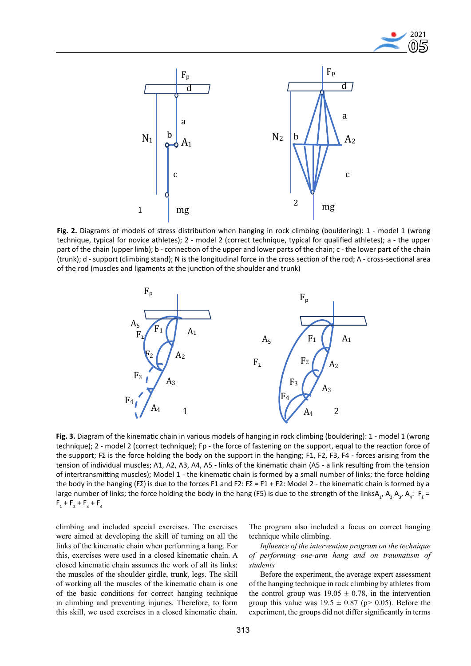



**Fig. 2.** Diagrams of models of stress distribution when hanging in rock climbing (bouldering): 1 - model 1 (wrong technique, typical for novice athletes); 2 - model 2 (correct technique, typical for qualified athletes); a - the upper part of the chain (upper limb); b - connection of the upper and lower parts of the chain; c - the lower part of the chain (trunk); d - support (climbing stand); N is the longitudinal force in the cross section of the rod; A - cross-sectional area of the rod (muscles and ligaments at the junction of the shoulder and trunk)



**Fig. 3.** Diagram of the kinematic chain in various models of hanging in rock climbing (bouldering): 1 - model 1 (wrong technique); 2 - model 2 (correct technique); Fp - the force of fastening on the support, equal to the reaction force of the support; FΣ is the force holding the body on the support in the hanging; F1, F2, F3, F4 - forces arising from the tension of individual muscles; A1, A2, A3, A4, A5 - links of the kinematic chain (A5 - a link resulting from the tension of intertransmitting muscles); Model 1 - the kinematic chain is formed by a small number of links; the force holding the body in the hanging (FΣ) is due to the forces F1 and F2: FΣ = F1 + F2: Model 2 - the kinematic chain is formed by a large number of links; the force holding the body in the hang (F5) is due to the strength of the linksA<sub>1</sub>, A<sub>2</sub>, A<sub>3</sub>, A<sub>4</sub>: F<sub>2</sub> =  $F_1 + F_2 + F_3 + F_4$ 

climbing and included special exercises. The exercises were aimed at developing the skill of turning on all the links of the kinematic chain when performing a hang. For this, exercises were used in a closed kinematic chain. A closed kinematic chain assumes the work of all its links: the muscles of the shoulder girdle, trunk, legs. The skill of working all the muscles of the kinematic chain is one of the basic conditions for correct hanging technique in climbing and preventing injuries. Therefore, to form this skill, we used exercises in a closed kinematic chain. The program also included a focus on correct hanging technique while climbing.

*Influence of the intervention program on the technique of performing one-arm hang and on traumatism of students*

Before the experiment, the average expert assessment of the hanging technique in rock climbing by athletes from the control group was  $19.05 \pm 0.78$ , in the intervention group this value was  $19.5 \pm 0.87$  (p> 0.05). Before the experiment, the groups did not differ significantly in terms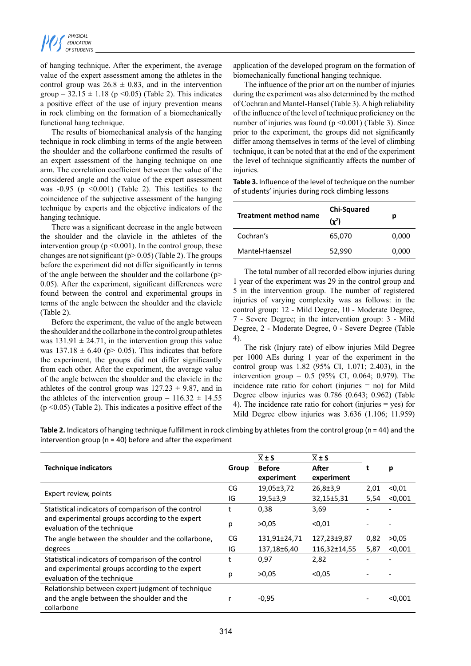of hanging technique. After the experiment, the average value of the expert assessment among the athletes in the control group was  $26.8 \pm 0.83$ , and in the intervention group –  $32.15 \pm 1.18$  (p < 0.05) (Table 2). This indicates a positive effect of the use of injury prevention means in rock climbing on the formation of a biomechanically functional hang technique.

The results of biomechanical analysis of the hanging technique in rock climbing in terms of the angle between the shoulder and the collarbone confirmed the results of an expert assessment of the hanging technique on one arm. The correlation coefficient between the value of the considered angle and the value of the expert assessment was  $-0.95$  (p  $\leq 0.001$ ) (Table 2). This testifies to the coincidence of the subjective assessment of the hanging technique by experts and the objective indicators of the hanging technique.

There was a significant decrease in the angle between the shoulder and the clavicle in the athletes of the intervention group ( $p \le 0.001$ ). In the control group, these changes are not significant ( $p > 0.05$ ) (Table 2). The groups before the experiment did not differ significantly in terms of the angle between the shoulder and the collarbone (p> 0.05). After the experiment, significant differences were found between the control and experimental groups in terms of the angle between the shoulder and the clavicle (Table 2).

Before the experiment, the value of the angle between the shoulder and the collarbone in the control group athletes was  $131.91 \pm 24.71$ , in the intervention group this value was  $137.18 \pm 6.40$  (p> 0.05). This indicates that before the experiment, the groups did not differ significantly from each other. After the experiment, the average value of the angle between the shoulder and the clavicle in the athletes of the control group was  $127.23 \pm 9.87$ , and in the athletes of the intervention group –  $116.32 \pm 14.55$  $(p \le 0.05)$  (Table 2). This indicates a positive effect of the application of the developed program on the formation of biomechanically functional hanging technique.

The influence of the prior art on the number of injuries during the experiment was also determined by the method of Cochran and Mantel-Hansel (Table 3). A high reliability of the influence of the level of technique proficiency on the number of injuries was found ( $p \le 0.001$ ) (Table 3). Since prior to the experiment, the groups did not significantly differ among themselves in terms of the level of climbing technique, it can be noted that at the end of the experiment the level of technique significantly affects the number of injuries.

**Table 3.** Influence of the level of technique on the number of students' injuries during rock climbing lessons

| Treatment method name | <b>Chi-Squared</b><br>$(y^2)$ | р     |  |  |
|-----------------------|-------------------------------|-------|--|--|
| Cochran's             | 65,070                        | 0,000 |  |  |
| Mantel-Haenszel       | 52,990                        | 0,000 |  |  |

The total number of all recorded elbow injuries during 1 year of the experiment was 29 in the control group and 5 in the intervention group. The number of registered injuries of varying complexity was as follows: in the control group: 12 - Mild Degree, 10 - Moderate Degree, 7 - Severe Degree; in the intervention group: 3 - Mild Degree, 2 - Moderate Degree, 0 - Severe Degree (Table 4).

The risk (Injury rate) of elbow injuries Mild Degree per 1000 AEs during 1 year of the experiment in the control group was 1.82 (95% CI, 1.071; 2.403), in the intervention group – 0.5 (95% CI, 0.064; 0.979). The incidence rate ratio for cohort (injuries = no) for Mild Degree elbow injuries was 0.786 (0.643; 0.962) (Table 4). The incidence rate ratio for cohort (injuries = yes) for Mild Degree elbow injuries was 3.636 (1.106; 11.959)

**Table 2.** Indicators of hanging technique fulfillment in rock climbing by athletes from the control group (n = 44) and the intervention group ( $n = 40$ ) before and after the experiment

|                                                                                                               |       | $\overline{X}$ ± S          | $\overline{X} \pm S$ |      | р       |  |
|---------------------------------------------------------------------------------------------------------------|-------|-----------------------------|----------------------|------|---------|--|
| <b>Technique indicators</b>                                                                                   | Group | <b>Before</b><br>experiment | After<br>experiment  |      |         |  |
|                                                                                                               | CG    | $19,05 \pm 3,72$            | $26,8 \pm 3,9$       | 2,01 | < 0.01  |  |
| Expert review, points                                                                                         | IG    | $19,5 \pm 3,9$              | 32,15±5,31           | 5,54 | < 0.001 |  |
| Statistical indicators of comparison of the control                                                           | t     | 0,38                        | 3,69                 |      |         |  |
| and experimental groups according to the expert<br>evaluation of the technique                                | р     | >0.05                       | < 0.01               |      |         |  |
| The angle between the shoulder and the collarbone,                                                            | CG    | 131,91±24,71                | 127,23±9,87          | 0,82 | >0,05   |  |
| degrees                                                                                                       | IG    | 137,18±6,40                 | 116,32±14,55         | 5,87 | < 0.001 |  |
| Statistical indicators of comparison of the control                                                           | t     | 0,97                        | 2,82                 |      |         |  |
| and experimental groups according to the expert<br>evaluation of the technique                                | р     | >0.05                       | < 0.05               |      |         |  |
| Relationship between expert judgment of technique<br>and the angle between the shoulder and the<br>collarbone |       | $-0,95$                     |                      |      | < 0.001 |  |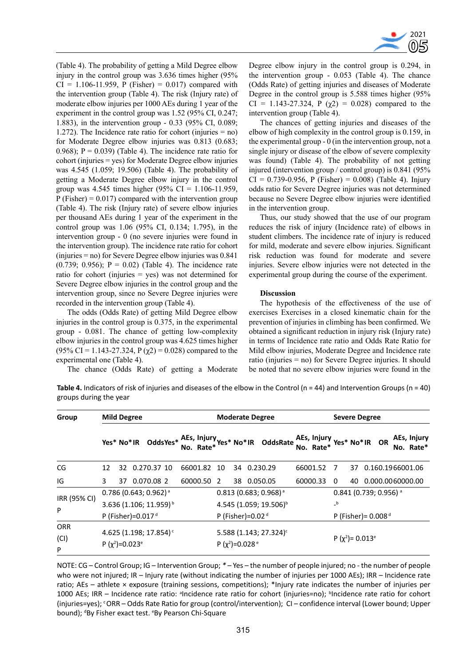

(Table 4). The probability of getting a Mild Degree elbow injury in the control group was 3.636 times higher (95%  $CI = 1.106 - 11.959$ , P (Fisher) = 0.017) compared with the intervention group (Table 4). The risk (Injury rate) of moderate elbow injuries per 1000 AEs during 1 year of the experiment in the control group was 1.52 (95% CI, 0.247; 1.883), in the intervention group - 0.33 (95% CI, 0.089; 1.272). The Incidence rate ratio for cohort (injuries = no) for Moderate Degree elbow injuries was 0.813 (0.683; 0.968);  $P = 0.039$  (Table 4). The incidence rate ratio for cohort (injuries = yes) for Moderate Degree elbow injuries was 4.545 (1.059; 19.506) (Table 4). The probability of getting a Moderate Degree elbow injury in the control group was 4.545 times higher (95% CI =  $1.106-11.959$ ,  $P$  (Fisher) = 0.017) compared with the intervention group (Table 4). The risk (Injury rate) of severe elbow injuries per thousand AEs during 1 year of the experiment in the control group was 1.06 (95% CI, 0.134; 1.795), in the intervention group - 0 (no severe injuries were found in the intervention group). The incidence rate ratio for cohort (injuries = no) for Severe Degree elbow injuries was 0.841 (0.739; 0.956);  $P = 0.02$ ) (Table 4). The incidence rate ratio for cohort (injuries = yes) was not determined for Severe Degree elbow injuries in the control group and the intervention group, since no Severe Degree injuries were recorded in the intervention group (Table 4).

The odds (Odds Rate) of getting Mild Degree elbow injuries in the control group is 0.375, in the experimental group - 0.081. The chance of getting low-complexity elbow injuries in the control group was 4.625 times higher (95% CI = 1.143-27.324, P ( $\chi$ 2) = 0.028) compared to the experimental one (Table 4).

Degree elbow injury in the control group is 0.294, in the intervention group - 0.053 (Table 4). The chance (Odds Rate) of getting injuries and diseases of Moderate Degree in the control group is 5.588 times higher (95% CI = 1.143-27.324, P ( $\chi$ 2) = 0.028) compared to the intervention group (Table 4).

The chances of getting injuries and diseases of the elbow of high complexity in the control group is 0.159, in the experimental group - 0 (in the intervention group, not a single injury or disease of the elbow of severe complexity was found) (Table 4). The probability of not getting injured (intervention group / control group) is 0.841 (95%  $CI = 0.739 - 0.956$ , P (Fisher) = 0.008) (Table 4). Injury odds ratio for Severe Degree injuries was not determined because no Severe Degree elbow injuries were identified in the intervention group.

Thus, our study showed that the use of our program reduces the risk of injury (Incidence rate) of elbows in student climbers. The incidence rate of injury is reduced for mild, moderate and severe elbow injuries. Significant risk reduction was found for moderate and severe injuries. Severe elbow injuries were not detected in the experimental group during the course of the experiment.

## **Discussion**

The hypothesis of the effectiveness of the use of exercises Exercises in a closed kinematic chain for the prevention of injuries in climbing has been confirmed. We obtained a significant reduction in injury risk (Injury rate) in terms of Incidence rate ratio and Odds Rate Ratio for Mild elbow injuries, Moderate Degree and Incidence rate ratio (injuries = no) for Severe Degree injuries. It should be noted that no severe elbow injuries were found in the

The chance (Odds Rate) of getting a Moderate

**Table 4.** Indicators of risk of injuries and diseases of the elbow in the Control ( $n = 44$ ) and Intervention Groups ( $n = 40$ ) groups during the year

| Group        | <b>Mild Degree</b>                                                     |    |  |                                                                               |             | <b>Moderate Degree</b>                                                 |                                    |  |  |             |  |                                   | <b>Severe Degree</b>                |                       |  |  |                     |                          |
|--------------|------------------------------------------------------------------------|----|--|-------------------------------------------------------------------------------|-------------|------------------------------------------------------------------------|------------------------------------|--|--|-------------|--|-----------------------------------|-------------------------------------|-----------------------|--|--|---------------------|--------------------------|
|              |                                                                        |    |  | Yes* No*IR OddsYes* AEs, Injury Yes* No*IR OddsRate AEs, Injury Yes* No*IR OR |             |                                                                        |                                    |  |  |             |  |                                   |                                     |                       |  |  |                     | AEs, Injury<br>No. Rate* |
| CG           | 12                                                                     |    |  | 32 0.270.37 10                                                                | 66001.82 10 |                                                                        |                                    |  |  | 34 0.230.29 |  | 66001.52                          | $\overline{7}$                      |                       |  |  | 37 0.160.1966001.06 |                          |
| IG           | 3                                                                      | 37 |  | 0.070.08 2                                                                    | 60000.50    | -2                                                                     |                                    |  |  | 38 0.050.05 |  | 60000.33                          | 0                                   | 40                    |  |  | 0.000.0060000.00    |                          |
| IRR (95% CI) | $0.786$ (0.643; 0.962) <sup>a</sup>                                    |    |  |                                                                               |             |                                                                        | $0.813(0.683; 0.968)^{a}$          |  |  |             |  |                                   | $0.841$ (0.739; 0.956) <sup>a</sup> |                       |  |  |                     |                          |
| P            | 3.636 (1.106; 11.959) <sup>b</sup>                                     |    |  |                                                                               |             |                                                                        | 4.545 (1.059; 19.506) <sup>b</sup> |  |  |             |  |                                   | $\mathsf{-}^{\mathsf{b}}$           |                       |  |  |                     |                          |
|              | P (Fisher)=0.017 $d$                                                   |    |  |                                                                               |             |                                                                        | P (Fisher)=0.02 $d$                |  |  |             |  |                                   |                                     | P (Fisher) = $0.008d$ |  |  |                     |                          |
| <b>ORR</b>   |                                                                        |    |  |                                                                               |             |                                                                        |                                    |  |  |             |  |                                   |                                     |                       |  |  |                     |                          |
| (CI)         | 4.625 (1.198; 17.854) <sup>c</sup><br>P $(\chi^2)$ =0.023 <sup>e</sup> |    |  |                                                                               |             | 5.588 (1.143; 27.324) <sup>c</sup><br>P $(\chi^2)$ =0.028 <sup>e</sup> |                                    |  |  |             |  | P $(\chi^2)$ = 0.013 <sup>e</sup> |                                     |                       |  |  |                     |                          |
| P            |                                                                        |    |  |                                                                               |             |                                                                        |                                    |  |  |             |  |                                   |                                     |                       |  |  |                     |                          |

NOTE: CG – Control Group; IG – Intervention Group; *\* –* Yes – the number of people injured; no - the number of people who were not injured; IR – Injury rate (without indicating the number of injuries per 1000 AEs); IRR – Incidence rate ratio; AEs – athlete × exposure (training sessions, competitions); \*Injury rate indicates the number of injuries per 1000 AEs; IRR - Incidence rate ratio: <sup>a</sup>Incidence rate ratio for cohort (injuries=no); <sup>b</sup>Incidence rate ratio for cohort (injuries=yes); <sup>c</sup>ORR – Odds Rate Ratio for group (control/intervention); CI – confidence interval (Lower bound; Upper bound); <sup>d</sup>By Fisher exact test. <sup>e</sup>By Pearson Chi-Square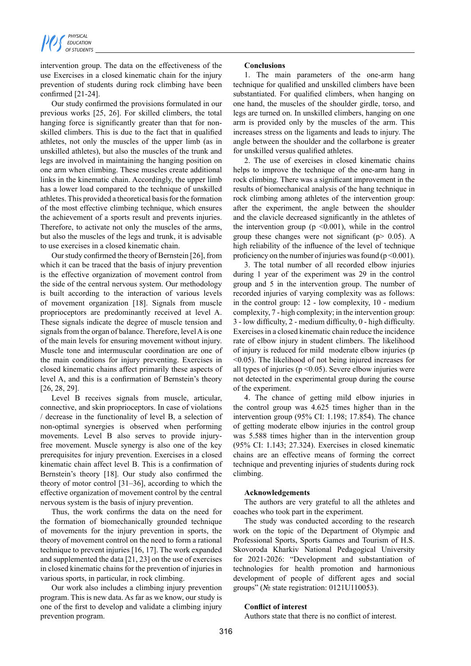

intervention group. The data on the effectiveness of the use Exercises in a closed kinematic chain for the injury prevention of students during rock climbing have been confirmed [21-24].

Our study confirmed the provisions formulated in our previous works [25, 26]. For skilled climbers, the total hanging force is significantly greater than that for nonskilled climbers. This is due to the fact that in qualified athletes, not only the muscles of the upper limb (as in unskilled athletes), but also the muscles of the trunk and legs are involved in maintaining the hanging position on one arm when climbing. These muscles create additional links in the kinematic chain. Accordingly, the upper limb has a lower load compared to the technique of unskilled athletes. This provided a theoretical basis for the formation of the most effective climbing technique, which ensures the achievement of a sports result and prevents injuries. Therefore, to activate not only the muscles of the arms, but also the muscles of the legs and trunk, it is advisable to use exercises in a closed kinematic chain.

Our study confirmed the theory of Bernstein [26], from which it can be traced that the basis of injury prevention is the effective organization of movement control from the side of the central nervous system. Our methodology is built according to the interaction of various levels of movement organization [18]. Signals from muscle proprioceptors are predominantly received at level A. These signals indicate the degree of muscle tension and signals from the organ of balance. Therefore, level A is one of the main levels for ensuring movement without injury. Muscle tone and intermuscular coordination are one of the main conditions for injury preventing. Exercises in closed kinematic chains affect primarily these aspects of level A, and this is a confirmation of Bernstein's theory [26, 28, 29].

Level B receives signals from muscle, articular, connective, and skin proprioceptors. In case of violations / decrease in the functionality of level B, a selection of non-optimal synergies is observed when performing movements. Level B also serves to provide injuryfree movement. Muscle synergy is also one of the key prerequisites for injury prevention. Exercises in a closed kinematic chain affect level B. This is a confirmation of Bernstein's theory [18]. Our study also confirmed the theory of motor control [31–36], according to which the effective organization of movement control by the central nervous system is the basis of injury prevention.

Thus, the work confirms the data on the need for the formation of biomechanically grounded technique of movements for the injury prevention in sports, the theory of movement control on the need to form a rational technique to prevent injuries [16, 17]. The work expanded and supplemented the data [21, 23] on the use of exercises in closed kinematic chains for the prevention of injuries in various sports, in particular, in rock climbing.

Our work also includes a climbing injury prevention program. This is new data. As far as we know, our study is one of the first to develop and validate a climbing injury prevention program.

# **Conclusions**

1. The main parameters of the one-arm hang technique for qualified and unskilled climbers have been substantiated. For qualified climbers, when hanging on one hand, the muscles of the shoulder girdle, torso, and legs are turned on. In unskilled climbers, hanging on one arm is provided only by the muscles of the arm. This increases stress on the ligaments and leads to injury. The angle between the shoulder and the collarbone is greater for unskilled versus qualified athletes.

2. The use of exercises in closed kinematic chains helps to improve the technique of the one-arm hang in rock climbing. There was a significant improvement in the results of biomechanical analysis of the hang technique in rock climbing among athletes of the intervention group: after the experiment, the angle between the shoulder and the clavicle decreased significantly in the athletes of the intervention group ( $p \le 0.001$ ), while in the control group these changes were not significant ( $p$   $>$  0.05). A high reliability of the influence of the level of technique proficiency on the number of injuries was found ( $p \le 0.001$ ).

3. The total number of all recorded elbow injuries during 1 year of the experiment was 29 in the control group and 5 in the intervention group. The number of recorded injuries of varying complexity was as follows: in the control group: 12 - low complexity, 10 - medium complexity, 7 - high complexity; in the intervention group: 3 - low difficulty, 2 - medium difficulty, 0 - high difficulty. Exercises in a closed kinematic chain reduce the incidence rate of elbow injury in student climbers. The likelihood of injury is reduced for mild moderate elbow injuries (p <0.05). The likelihood of not being injured increases for all types of injuries ( $p \le 0.05$ ). Severe elbow injuries were not detected in the experimental group during the course of the experiment.

4. The chance of getting mild elbow injuries in the control group was 4.625 times higher than in the intervention group (95% CI: 1.198; 17.854). The chance of getting moderate elbow injuries in the control group was 5.588 times higher than in the intervention group (95% CI: 1.143; 27.324). Exercises in closed kinematic chains are an effective means of forming the correct technique and preventing injuries of students during rock climbing.

#### **Acknowledgements**

The authors are very grateful to all the athletes and coaches who took part in the experiment.

The study was conducted according to the research work on the topic of the Department of Olympic and Professional Sports, Sports Games and Tourism of H.S. Skovoroda Kharkiv National Pedagogical University for 2021-2026: "Development and substantiation of technologies for health promotion and harmonious development of people of different ages and social groups" (№ state registration: 0121U110053).

## **Conflict of interest**

Authors state that there is no conflict of interest.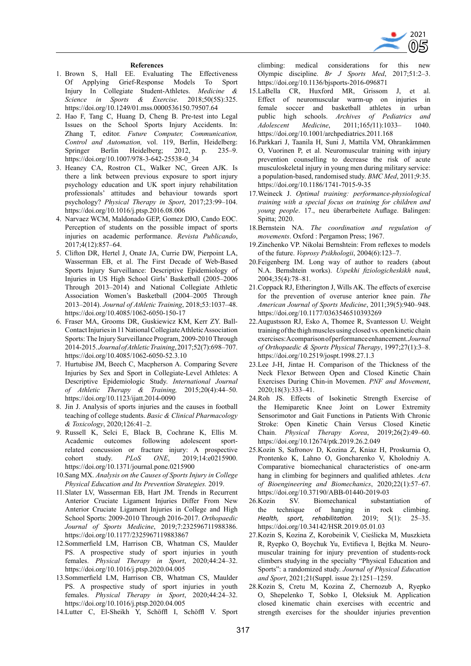

### **References**

- 1. Brown S, Hall EE. Evaluating The Effectiveness Of Applying Grief-Response Models To Sport Injury In Collegiate Student-Athletes. *Medicine & Science in Sports & Exercise*. 2018;50(5S):325. https://doi.org/10.1249/01.mss.0000536150.79507.64
- 2. Hao F, Tang C, Huang D, Cheng B. Pre-test into Legal Issues on the School Sports Injury Accidents. In: Zhang T, editor. *Future Computer, Communication, Control and Automation,* vol. 119, Berlin, Heidelberg: Springer Berlin Heidelberg; 2012, p. 235–9. https://doi.org/10.1007/978-3-642-25538-0\_34
- 3. Heaney CA, Rostron CL, Walker NC, Green AJK. Is there a link between previous exposure to sport injury psychology education and UK sport injury rehabilitation professionals' attitudes and behaviour towards sport psychology? *Physical Therapy in Sport*, 2017;23:99–104. https://doi.org/10.1016/j.ptsp.2016.08.006
- 4. Narvaez WCM, Maldonado GEP, Gomez DIO, Cando EOC. Perception of students on the possible impact of sports injuries on academic performance. *Revista Publicando*, 2017;4(12):857–64.
- 5. Clifton DR, Hertel J, Onate JA, Currie DW, Pierpoint LA, Wasserman EB, et al. The First Decade of Web-Based Sports Injury Surveillance: Descriptive Epidemiology of Injuries in US High School Girls' Basketball (2005–2006 Through 2013–2014) and National Collegiate Athletic Association Women's Basketball (2004–2005 Through 2013–2014). *Journal of Athletic Training*, 2018;53:1037–48. https://doi.org/10.4085/1062-6050-150-17
- 6. Fraser MA, Grooms DR, Guskiewicz KM, Kerr ZY. Ball-Contact Injuries in 11 National Collegiate Athletic Association Sports: The Injury Surveillance Program, 2009-2010 Through 2014-2015. *Journal of Athletic Training*, 2017;52(7):698–707. https://doi.org/10.4085/1062-6050-52.3.10
- 7. Hurtubise JM, Beech C, Macpherson A. Comparing Severe Injuries by Sex and Sport in Collegiate-Level Athletes: A Descriptive Epidemiologic Study. *International Journal of Athletic Therapy & Training,* 2015;20(4):44–50. https://doi.org/10.1123/ijatt.2014-0090
- 8. Jin J. Analysis of sports injuries and the causes in football teaching of college students. *Basic & Clinical Pharmacology & Toxicology*, 2020;126:41–2.
- 9. Russell K, Selci E, Black B, Cochrane K, Ellis M. Academic outcomes following adolescent sportrelated concussion or fracture injury: A prospective cohort study. *PLoS ONE*, 2019;14:e0215900. https://doi.org/10.1371/journal.pone.0215900
- 10.Sang MX. *Analysis on the Causes of Sports Injury in College Physical Education and Its Prevention Strategies.* 2019.
- 11.Slater LV, Wasserman EB, Hart JM. Trends in Recurrent Anterior Cruciate Ligament Injuries Differ From New Anterior Cruciate Ligament Injuries in College and High School Sports: 2009-2010 Through 2016-2017. *Orthopaedic Journal of Sports Medicine*, 2019;7:232596711988386. https://doi.org/10.1177/2325967119883867
- 12.Sommerfield LM, Harrison CB, Whatman CS, Maulder PS. A prospective study of sport injuries in youth females. *Physical Therapy in Sport*, 2020;44:24–32. https://doi.org/10.1016/j.ptsp.2020.04.005
- 13.Sommerfield LM, Harrison CB, Whatman CS, Maulder PS. A prospective study of sport injuries in youth females. *Physical Therapy in Sport*, 2020;44:24–32. https://doi.org/10.1016/j.ptsp.2020.04.005
- 14.Lutter C, El-Sheikh Y, Schöffl I, Schöffl V. Sport

climbing: medical considerations for this new Olympic discipline. *Br J Sports Med*, 2017;51:2–3. https://doi.org/10.1136/bjsports-2016-096871

- 15.LaBella CR, Huxford MR, Grissom J, et Effect of neuromuscular warm-up on injuries in female soccer and basketball athletes in urban public high schools. *Archives of Pediatrics and Adolescent Medicine*, 2011;165*(*11):1033– 1040. https://doi.org/10.1001/archpediatrics.2011.168
- 16.Parkkari J, Taanila H, Suni J, Mattila VM, Ohrankämmen O, Vuorinen P, et al. Neuromuscular training with injury prevention counselling to decrease the risk of acute musculoskeletal injury in young men during military service: a population-based, randomised study. *BMC Med*, 2011;9:35. https://doi.org/10.1186/1741-7015-9-35
- 17.Weineck J. *Optimal training: performance-physiological training with a special focus on training for children and young people*. 17., neu überarbeitete Auflage. Balingen: Spitta; 2020.
- 18.Bernstein NA. *The coordination and regulation of movements*. Oxford : Pergamon Press; 1967.
- 19.Zinchenko VP. Nikolai Bernshtein: From reflexes to models of the future. *Voprosy Psikhologii*, 2004(6):123–7.
- 20.Feigenberg IM. Long way of author to readers (about N.A. Bernshtein works). *Uspekhi fiziologicheskikh nauk*, 2004;35(4):78–81.
- 21.Coppack RJ, Etherington J, Wills AK. The effects of exercise for the prevention of overuse anterior knee pain. *The American Journal of Sports Medicine*, 2011;39(5):940–948. https://doi.org/10.1177/0363546510393269
- 22.Augustsson RJ, Esko A, Thomee R, Svantesson U. Weight training of the thigh muscles using closed vs. open kinetic chain exercises: A comparison of performance enhancement. *Journal of Orthopaedic & Sports Physical Therapy*, 1997;27(1):3–8. https://doi.org/10.2519/jospt.1998.27.1.3
- 23.Lee J-H, Jintae H. Comparison of the Thickness of the Neck Flexor Between Open and Closed Kinetic Chain Exercises During Chin-in Movemen. *PNF and Movement*, 2020;18(3):333–41.
- 24.Roh JS. Effects of Isokinetic Strength Exercise of the Hemiparetic Knee Joint on Lower Extremity Sensorimotor and Gait Functions in Patients With Chronic Stroke: Open Kinetic Chain Versus Closed Kinetic Chain. *Physical Therapy Korea*, 2019;26(2):49–60. https://doi.org/10.12674/ptk.2019.26.2.049
- 25.Kozin S, Safronov D, Kozina Z, Kniaz H, Proskurnia O, Prontenko K, Lahno O, Goncharenko V, Kholodniy A. Comparative biomechanical characteristics of one-arm hang in climbing for beginners and qualified athletes. *Acta of Bioengineering and Biomechanics*, 2020;22(1):57–67. https://doi.org/10.37190/ABB-01440-2019-03
- 26.Kozin SV. Biomechanical substantiation of the technique of hanging in rock climbing. *Health, sport, rehabilitation.* 2019; 5(1): 25–35. https://doi.org/10.34142/HSR.2019.05.01.03
- 27.Kozin S, Kozina Z, Korobeinik V, Cieślicka M, Muszkieta R, Ryepko O, Boychuk Yu, Evtifieva I, Bejtka M. Neuromuscular training for injury prevention of students-rock climbers studying in the specialty "Physical Education and Sports": a randomized study. *Journal of Physical Education and Sport*, 2021;21(Suppl. issue 2):1251–1259.
- 28.Kozin S, Cretu M, Kozina Z, Chernozub A, Ryepko O, Shepelenko T, Sobko I, Oleksiuk M. Application closed kinematic chain exercises with eccentric and strength exercises for the shoulder injuries prevention